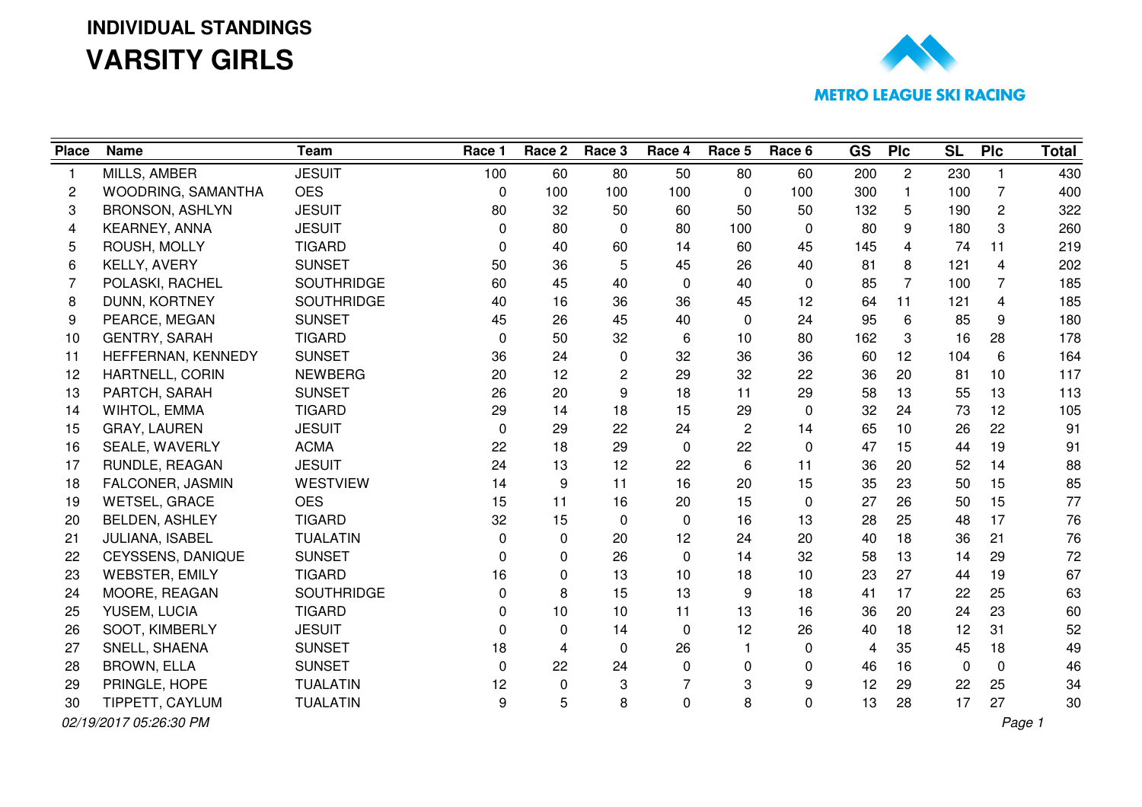#### **INDIVIDUAL STANDINGSVARSITY GIRLS**



| <b>Place</b> | <b>Name</b>            | <b>Team</b>       | Race 1   | Race 2         | Race 3       | Race 4         | Race 5         | Race 6       | <b>GS</b> | <b>PIc</b>     | <b>SL</b> | <b>PIc</b>      | <b>Total</b> |
|--------------|------------------------|-------------------|----------|----------------|--------------|----------------|----------------|--------------|-----------|----------------|-----------|-----------------|--------------|
| 1            | MILLS, AMBER           | <b>JESUIT</b>     | 100      | 60             | 80           | 50             | 80             | 60           | 200       | $\mathbf{2}$   | 230       |                 | 430          |
| 2            | WOODRING, SAMANTHA     | <b>OES</b>        | 0        | 100            | 100          | 100            | 0              | 100          | 300       | $\mathbf{1}$   | 100       | $\overline{7}$  | 400          |
| 3            | <b>BRONSON, ASHLYN</b> | <b>JESUIT</b>     | 80       | 32             | 50           | 60             | 50             | 50           | 132       | 5              | 190       | $\overline{2}$  | 322          |
| 4            | KEARNEY, ANNA          | <b>JESUIT</b>     | 0        | 80             | $\Omega$     | 80             | 100            | 0            | 80        | 9              | 180       | 3               | 260          |
| 5            | ROUSH, MOLLY           | <b>TIGARD</b>     | $\Omega$ | 40             | 60           | 14             | 60             | 45           | 145       | 4              | 74        | 11              | 219          |
| 6            | KELLY, AVERY           | <b>SUNSET</b>     | 50       | 36             | 5            | 45             | 26             | 40           | 81        | 8              | 121       | 4               | 202          |
| 7            | POLASKI, RACHEL        | SOUTHRIDGE        | 60       | 45             | 40           | 0              | 40             | 0            | 85        | $\overline{7}$ | 100       | $\overline{7}$  | 185          |
| 8            | DUNN, KORTNEY          | <b>SOUTHRIDGE</b> | 40       | 16             | 36           | 36             | 45             | 12           | 64        | 11             | 121       | 4               | 185          |
| 9            | PEARCE, MEGAN          | <b>SUNSET</b>     | 45       | 26             | 45           | 40             | 0              | 24           | 95        | 6              | 85        | 9               | 180          |
| 10           | <b>GENTRY, SARAH</b>   | <b>TIGARD</b>     | 0        | 50             | 32           | 6              | 10             | 80           | 162       | 3              | 16        | 28              | 178          |
| 11           | HEFFERNAN, KENNEDY     | <b>SUNSET</b>     | 36       | 24             | 0            | 32             | 36             | 36           | 60        | 12             | 104       | 6               | 164          |
| 12           | HARTNELL, CORIN        | <b>NEWBERG</b>    | 20       | 12             | 2            | 29             | 32             | 22           | 36        | 20             | 81        | 10 <sup>°</sup> | 117          |
| 13           | PARTCH, SARAH          | <b>SUNSET</b>     | 26       | 20             | 9            | 18             | 11             | 29           | 58        | 13             | 55        | 13              | 113          |
| 14           | WIHTOL, EMMA           | <b>TIGARD</b>     | 29       | 14             | 18           | 15             | 29             | $\mathbf 0$  | 32        | 24             | 73        | 12              | 105          |
| 15           | GRAY, LAUREN           | <b>JESUIT</b>     | 0        | 29             | 22           | 24             | $\overline{c}$ | 14           | 65        | 10             | 26        | 22              | 91           |
| 16           | SEALE, WAVERLY         | <b>ACMA</b>       | 22       | 18             | 29           | $\mathbf 0$    | 22             | $\mathbf{0}$ | 47        | 15             | 44        | 19              | 91           |
| 17           | RUNDLE, REAGAN         | <b>JESUIT</b>     | 24       | 13             | 12           | 22             | 6              | 11           | 36        | 20             | 52        | 14              | 88           |
| 18           | FALCONER, JASMIN       | <b>WESTVIEW</b>   | 14       | 9              | 11           | 16             | 20             | 15           | 35        | 23             | 50        | 15              | 85           |
| 19           | <b>WETSEL, GRACE</b>   | <b>OES</b>        | 15       | 11             | 16           | 20             | 15             | $\mathbf{0}$ | 27        | 26             | 50        | 15              | 77           |
| 20           | <b>BELDEN, ASHLEY</b>  | <b>TIGARD</b>     | 32       | 15             | 0            | 0              | 16             | 13           | 28        | 25             | 48        | 17              | 76           |
| 21           | JULIANA, ISABEL        | <b>TUALATIN</b>   | 0        | $\mathbf{0}$   | 20           | 12             | 24             | 20           | 40        | 18             | 36        | 21              | 76           |
| 22           | CEYSSENS, DANIQUE      | <b>SUNSET</b>     | 0        | $\mathbf{0}$   | 26           | 0              | 14             | 32           | 58        | 13             | 14        | 29              | 72           |
| 23           | <b>WEBSTER, EMILY</b>  | <b>TIGARD</b>     | 16       | $\mathbf{0}$   | 13           | 10             | 18             | 10           | 23        | 27             | 44        | 19              | 67           |
| 24           | MOORE, REAGAN          | <b>SOUTHRIDGE</b> | 0        | 8              | 15           | 13             | 9              | 18           | 41        | 17             | 22        | 25              | 63           |
| 25           | YUSEM, LUCIA           | <b>TIGARD</b>     | 0        | 10             | 10           | 11             | 13             | 16           | 36        | 20             | 24        | 23              | 60           |
| 26           | SOOT, KIMBERLY         | <b>JESUIT</b>     | 0        | $\mathbf{0}$   | 14           | 0              | 12             | 26           | 40        | 18             | 12        | 31              | 52           |
| 27           | SNELL, SHAENA          | <b>SUNSET</b>     | 18       | $\overline{4}$ | $\mathbf{0}$ | 26             | $\mathbf{1}$   | 0            | 4         | 35             | 45        | 18              | 49           |
| 28           | <b>BROWN, ELLA</b>     | <b>SUNSET</b>     | 0        | 22             | 24           | 0              | 0              | 0            | 46        | 16             | 0         | $\mathbf 0$     | 46           |
| 29           | PRINGLE, HOPE          | <b>TUALATIN</b>   | 12       | $\mathbf 0$    | 3            | $\overline{7}$ | 3              | 9            | 12        | 29             | 22        | 25              | 34           |
| 30           | TIPPETT, CAYLUM        | <b>TUALATIN</b>   | 9        | 5              | 8            | 0              | 8              | $\mathbf 0$  | 13        | 28             | 17        | 27              | 30           |
|              | 02/19/2017 05:26:30 PM |                   |          |                |              |                |                |              |           |                |           |                 | Page 1       |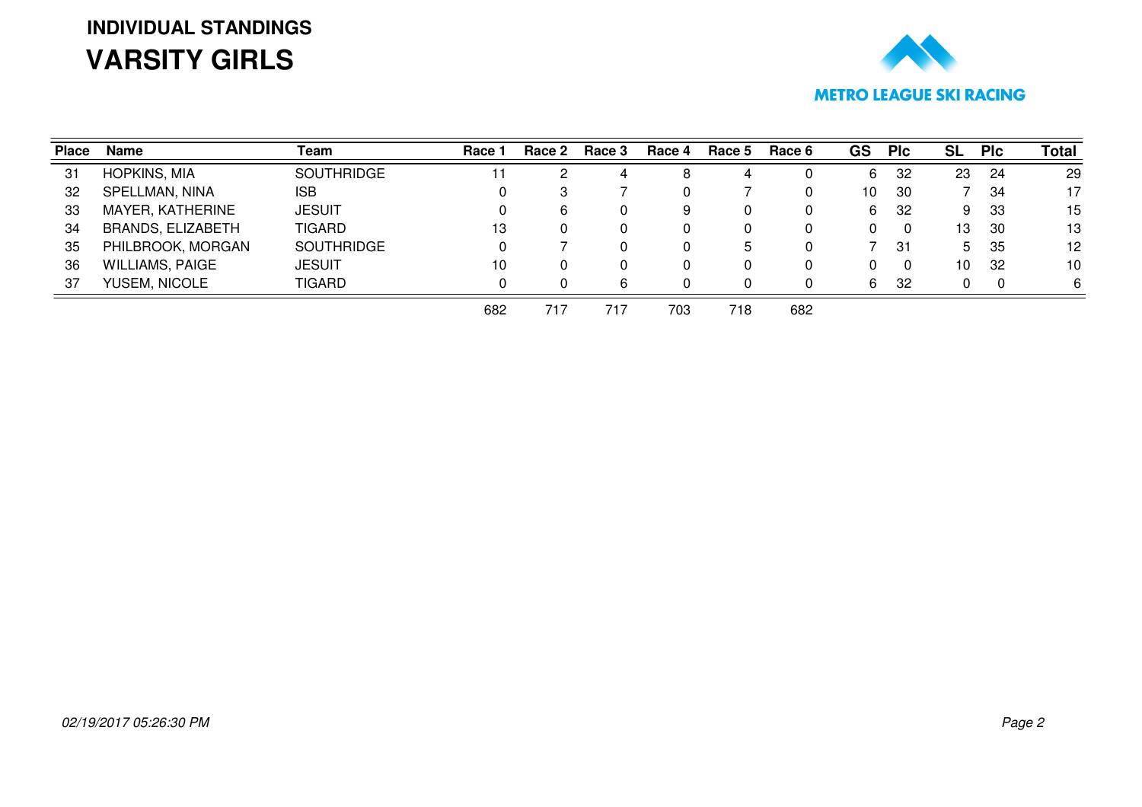# **INDIVIDUAL STANDINGSVARSITY GIRLS**



| <b>Place</b> | Name                     | Team              | Race 1 | Race 2 | Race 3 | Race 4 | Race 5 | Race 6 | <b>GS</b> | <b>PIc</b> | <b>SL</b> | <b>PIc</b> | <b>Total</b> |
|--------------|--------------------------|-------------------|--------|--------|--------|--------|--------|--------|-----------|------------|-----------|------------|--------------|
| 31           | <b>HOPKINS, MIA</b>      | <b>SOUTHRIDGE</b> | 11     |        | 4      | 8      | 4      |        | 6         | 32         | 23        | -24        | 29           |
| 32           | SPELLMAN, NINA           | <b>ISB</b>        |        | 3      |        |        |        |        | 10        | -30        |           | -34        | 17           |
| 33           | MAYER, KATHERINE         | <b>JESUIT</b>     | 0      | 6      |        | 9      |        |        | 6         | -32        | 9         | -33        | 15           |
| 34           | <b>BRANDS, ELIZABETH</b> | <b>TIGARD</b>     | 13     | 0      | 0      |        |        |        | 0         | 0          | 13        | -30        | 13           |
| 35           | PHILBROOK, MORGAN        | <b>SOUTHRIDGE</b> | 0      |        |        | 0      | b      |        |           | -31        | 5.        | 35         | 12           |
| 36           | <b>WILLIAMS, PAIGE</b>   | <b>JESUIT</b>     | 10     | 0      |        |        |        |        | 0         | 0          | 10        | -32        | 10           |
| 37           | YUSEM, NICOLE            | <b>TIGARD</b>     | 0      |        | 6      |        |        |        | 6         | 32         |           | $\Omega$   | 6            |
|              |                          |                   | 682    | 717    | 717    | 703    | 718    | 682    |           |            |           |            |              |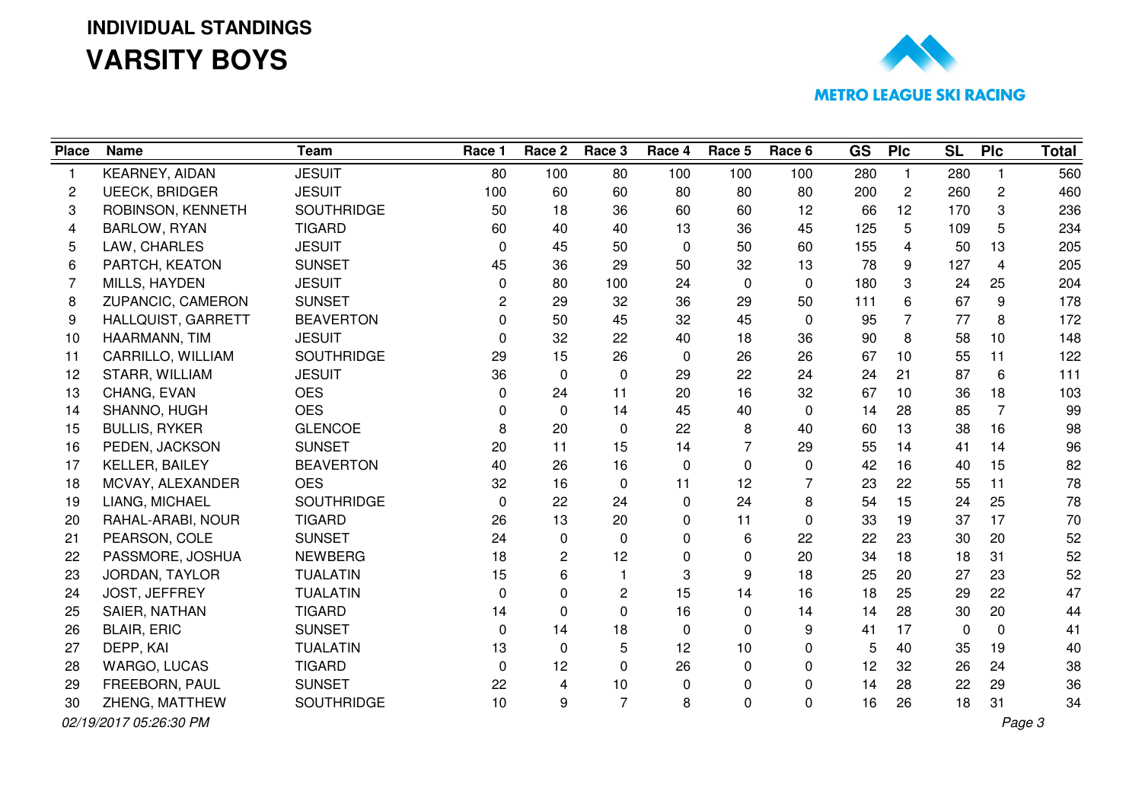### **INDIVIDUAL STANDINGSVARSITY BOYS**



| <b>Place</b>   | <b>Name</b>            | <b>Team</b>       | Race 1   | Race 2                  | Race 3         | Race 4   | Race 5         | Race 6         | GS  | Plc            | <b>SL</b> | Plc             | <b>Total</b> |
|----------------|------------------------|-------------------|----------|-------------------------|----------------|----------|----------------|----------------|-----|----------------|-----------|-----------------|--------------|
| $\mathbf{1}$   | KEARNEY, AIDAN         | <b>JESUIT</b>     | 80       | 100                     | 80             | 100      | 100            | 100            | 280 | $\mathbf{1}$   | 280       |                 | 560          |
| $\overline{c}$ | <b>UEECK, BRIDGER</b>  | <b>JESUIT</b>     | 100      | 60                      | 60             | 80       | 80             | 80             | 200 | $\overline{c}$ | 260       | $\mathbf{2}$    | 460          |
| 3              | ROBINSON, KENNETH      | <b>SOUTHRIDGE</b> | 50       | 18                      | 36             | 60       | 60             | 12             | 66  | 12             | 170       | 3               | 236          |
| 4              | <b>BARLOW, RYAN</b>    | <b>TIGARD</b>     | 60       | 40                      | 40             | 13       | 36             | 45             | 125 | 5              | 109       | 5               | 234          |
| 5              | LAW, CHARLES           | <b>JESUIT</b>     | $\Omega$ | 45                      | 50             | $\Omega$ | 50             | 60             | 155 | 4              | 50        | 13              | 205          |
| 6              | PARTCH, KEATON         | <b>SUNSET</b>     | 45       | 36                      | 29             | 50       | 32             | 13             | 78  | 9              | 127       | 4               | 205          |
| 7              | MILLS, HAYDEN          | <b>JESUIT</b>     | 0        | 80                      | 100            | 24       | 0              | $\Omega$       | 180 | 3              | 24        | 25              | 204          |
| 8              | ZUPANCIC, CAMERON      | <b>SUNSET</b>     | 2        | 29                      | 32             | 36       | 29             | 50             | 111 | 6              | 67        | 9               | 178          |
| 9              | HALLQUIST, GARRETT     | <b>BEAVERTON</b>  | 0        | 50                      | 45             | 32       | 45             | 0              | 95  | $\overline{7}$ | 77        | 8               | 172          |
| 10             | HAARMANN, TIM          | <b>JESUIT</b>     | 0        | 32                      | 22             | 40       | 18             | 36             | 90  | 8              | 58        | 10 <sup>1</sup> | 148          |
| 11             | CARRILLO, WILLIAM      | <b>SOUTHRIDGE</b> | 29       | 15                      | 26             | 0        | 26             | 26             | 67  | 10             | 55        | 11              | 122          |
| 12             | STARR, WILLIAM         | <b>JESUIT</b>     | 36       | $\mathbf 0$             | $\Omega$       | 29       | 22             | 24             | 24  | 21             | 87        | 6               | 111          |
| 13             | CHANG, EVAN            | <b>OES</b>        | 0        | 24                      | 11             | 20       | 16             | 32             | 67  | 10             | 36        | 18              | 103          |
| 14             | SHANNO, HUGH           | <b>OES</b>        | 0        | $\mathbf 0$             | 14             | 45       | 40             | $\Omega$       | 14  | 28             | 85        | $\overline{7}$  | 99           |
| 15             | <b>BULLIS, RYKER</b>   | <b>GLENCOE</b>    | 8        | 20                      | 0              | 22       | 8              | 40             | 60  | 13             | 38        | 16              | 98           |
| 16             | PEDEN, JACKSON         | <b>SUNSET</b>     | 20       | 11                      | 15             | 14       | $\overline{7}$ | 29             | 55  | 14             | 41        | 14              | 96           |
| 17             | KELLER, BAILEY         | <b>BEAVERTON</b>  | 40       | 26                      | 16             | 0        | 0              | 0              | 42  | 16             | 40        | 15              | 82           |
| 18             | MCVAY, ALEXANDER       | <b>OES</b>        | 32       | 16                      | $\mathbf{0}$   | 11       | 12             | $\overline{7}$ | 23  | 22             | 55        | 11              | 78           |
| 19             | LIANG, MICHAEL         | <b>SOUTHRIDGE</b> | $\Omega$ | 22                      | 24             | 0        | 24             | 8              | 54  | 15             | 24        | 25              | 78           |
| 20             | RAHAL-ARABI, NOUR      | <b>TIGARD</b>     | 26       | 13                      | 20             | 0        | 11             | $\Omega$       | 33  | 19             | 37        | 17              | 70           |
| 21             | PEARSON, COLE          | <b>SUNSET</b>     | 24       | $\mathbf 0$             | 0              | 0        | 6              | 22             | 22  | 23             | 30        | 20              | 52           |
| 22             | PASSMORE, JOSHUA       | <b>NEWBERG</b>    | 18       | $\overline{2}$          | 12             | 0        | 0              | 20             | 34  | 18             | 18        | 31              | 52           |
| 23             | JORDAN, TAYLOR         | <b>TUALATIN</b>   | 15       | 6                       | $\mathbf 1$    | 3        | 9              | 18             | 25  | 20             | 27        | 23              | 52           |
| 24             | JOST, JEFFREY          | <b>TUALATIN</b>   | 0        | $\mathbf{0}$            | 2              | 15       | 14             | 16             | 18  | 25             | 29        | 22              | 47           |
| 25             | SAIER, NATHAN          | <b>TIGARD</b>     | 14       | $\mathbf 0$             | 0              | 16       | 0              | 14             | 14  | 28             | 30        | 20              | 44           |
| 26             | <b>BLAIR, ERIC</b>     | <b>SUNSET</b>     | $\Omega$ | 14                      | 18             | 0        | 0              | 9              | 41  | 17             | 0         | $\Omega$        | 41           |
| 27             | DEPP, KAI              | <b>TUALATIN</b>   | 13       | $\mathbf{0}$            | 5              | 12       | 10             | 0              | 5   | 40             | 35        | 19              | 40           |
| 28             | WARGO, LUCAS           | <b>TIGARD</b>     | $\Omega$ | 12                      | 0              | 26       | 0              | 0              | 12  | 32             | 26        | 24              | 38           |
| 29             | FREEBORN, PAUL         | <b>SUNSET</b>     | 22       | $\overline{\mathbf{4}}$ | 10             | 0        | 0              | 0              | 14  | 28             | 22        | 29              | 36           |
| 30             | ZHENG, MATTHEW         | <b>SOUTHRIDGE</b> | 10       | 9                       | $\overline{7}$ | 8        | 0              | 0              | 16  | 26             | 18        | 31              | 34           |
|                | 02/19/2017 05:26:30 PM |                   |          |                         |                |          |                |                |     |                |           |                 | Page 3       |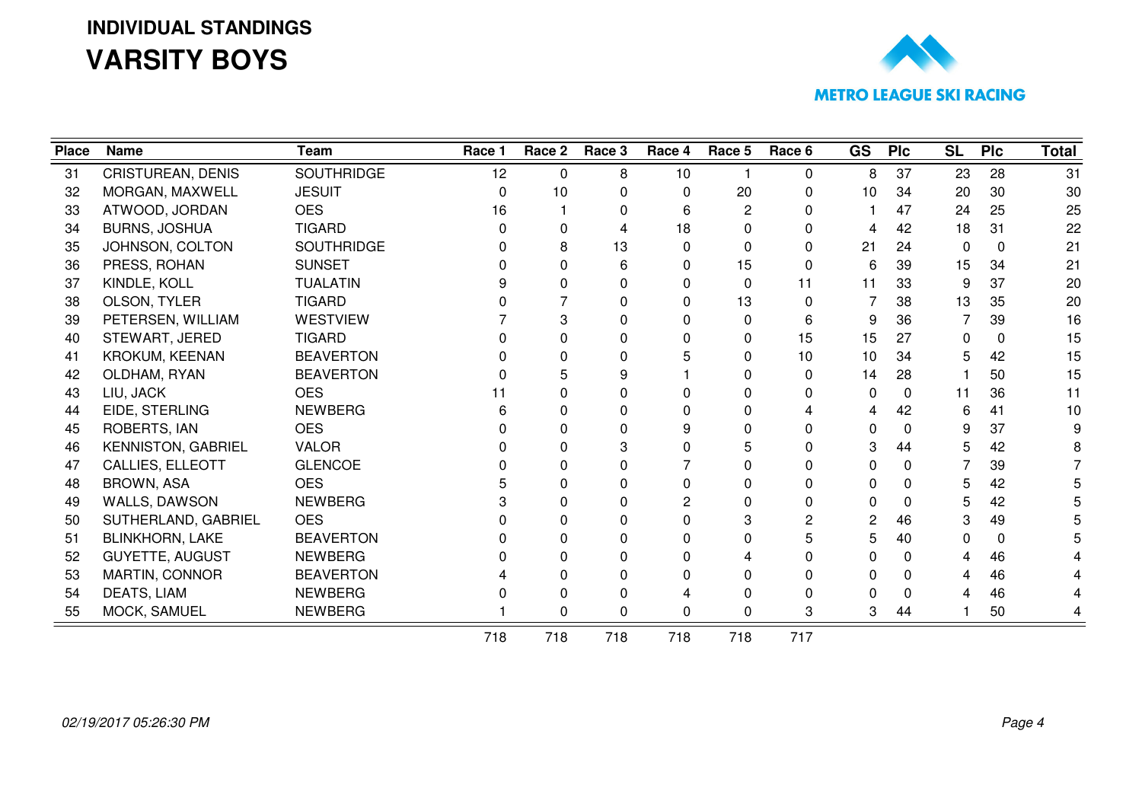# **INDIVIDUAL STANDINGSVARSITY BOYS**



| <b>Place</b> | <b>Name</b>               | <b>Team</b>       | Race 1 | Race 2       | Race 3 | Race 4 | Race 5      | Race 6   | GS | <b>PIc</b> | <b>SL</b> | <b>Plc</b> | <b>Total</b> |
|--------------|---------------------------|-------------------|--------|--------------|--------|--------|-------------|----------|----|------------|-----------|------------|--------------|
| 31           | CRISTUREAN, DENIS         | <b>SOUTHRIDGE</b> | 12     | $\Omega$     | 8      | 10     |             | 0        | 8  | 37         | 23        | 28         | 31           |
| 32           | MORGAN, MAXWELL           | <b>JESUIT</b>     | n      | 10           | 0      | 0      | 20          | 0        | 10 | 34         | 20        | 30         | 30           |
| 33           | ATWOOD, JORDAN            | <b>OES</b>        | 16     |              | 0      | 6      | 2           | 0        |    | 47         | 24        | 25         | 25           |
| 34           | <b>BURNS, JOSHUA</b>      | <b>TIGARD</b>     |        | 0            | 4      | 18     | 0           | 0        | 4  | 42         | 18        | 31         | 22           |
| 35           | JOHNSON, COLTON           | <b>SOUTHRIDGE</b> |        | 8            | 13     | 0      | 0           | 0        | 21 | 24         | $\Omega$  | $\Omega$   | 21           |
| 36           | PRESS, ROHAN              | <b>SUNSET</b>     |        | 0            | 6      | 0      | 15          | 0        | 6  | 39         | 15        | 34         | 21           |
| 37           | KINDLE, KOLL              | <b>TUALATIN</b>   |        | <sup>0</sup> |        | 0      | $\mathbf 0$ | 11       | 11 | 33         | 9         | 37         | 20           |
| 38           | OLSON, TYLER              | <b>TIGARD</b>     |        |              | 0      | 0      | 13          | $\Omega$ | 7  | 38         | 13        | 35         | 20           |
| 39           | PETERSEN, WILLIAM         | <b>WESTVIEW</b>   |        | 3            | 0      | 0      | 0           | 6        | 9  | 36         | 7         | 39         | 16           |
| 40           | STEWART, JERED            | <b>TIGARD</b>     |        | 0            |        | 0      | 0           | 15       | 15 | 27         | 0         | $\Omega$   | 15           |
| 41           | <b>KROKUM, KEENAN</b>     | <b>BEAVERTON</b>  |        | 0            | ŋ      |        | O           | 10       | 10 | 34         |           | 42         | 15           |
| 42           | OLDHAM, RYAN              | <b>BEAVERTON</b>  |        | 5            | 9      |        |             | 0        | 14 | 28         |           | 50         | 15           |
| 43           | LIU, JACK                 | <b>OES</b>        |        | 0            |        | n      |             | 0        | 0  | $\Omega$   | 11        | 36         | 11           |
| 44           | EIDE, STERLING            | <b>NEWBERG</b>    |        | 0            |        | 0      |             | 4        | 4  | 42         | 6         | 41         | 10           |
| 45           | ROBERTS, IAN              | <b>OES</b>        |        |              |        | 9      |             | 0        | 0  | 0          | 9         | 37         |              |
| 46           | <b>KENNISTON, GABRIEL</b> | <b>VALOR</b>      |        | <sup>0</sup> |        | n      |             | 0        | 3  | 44         | 5         | 42         |              |
| 47           | CALLIES, ELLEOTT          | <b>GLENCOE</b>    |        | 0            |        |        |             | 0        | 0  | 0          |           | 39         |              |
| 48           | <b>BROWN, ASA</b>         | <b>OES</b>        |        | 0            | 0      | 0      |             | 0        | 0  | 0          | 5         | 42         |              |
| 49           | WALLS, DAWSON             | <b>NEWBERG</b>    |        | <sup>0</sup> |        | 2      |             | 0        | 0  | 0          | 5         | 42         |              |
| 50           | SUTHERLAND, GABRIEL       | <b>OES</b>        |        | 0            |        | 0      |             | 2        | 2  | 46         | 3         | 49         |              |
| 51           | <b>BLINKHORN, LAKE</b>    | <b>BEAVERTON</b>  |        | 0            |        | 0      |             | 5        | 5  | 40         | 0         | $\Omega$   |              |
| 52           | <b>GUYETTE, AUGUST</b>    | <b>NEWBERG</b>    |        | <sup>0</sup> |        | 0      |             | 0        | 0  | 0          | Δ         | 46         |              |
| 53           | MARTIN, CONNOR            | <b>BEAVERTON</b>  |        | 0            |        | 0      |             | 0        | 0  | 0          |           | 46         |              |
| 54           | DEATS, LIAM               | <b>NEWBERG</b>    |        | O            | 0      |        |             | 0        | O  | 0          |           | 46         |              |
| 55           | MOCK, SAMUEL              | <b>NEWBERG</b>    |        | 0            | 0      | 0      | 0           | 3        | 3  | 44         |           | 50         |              |
|              |                           |                   | 718    | 718          | 718    | 718    | 718         | 717      |    |            |           |            |              |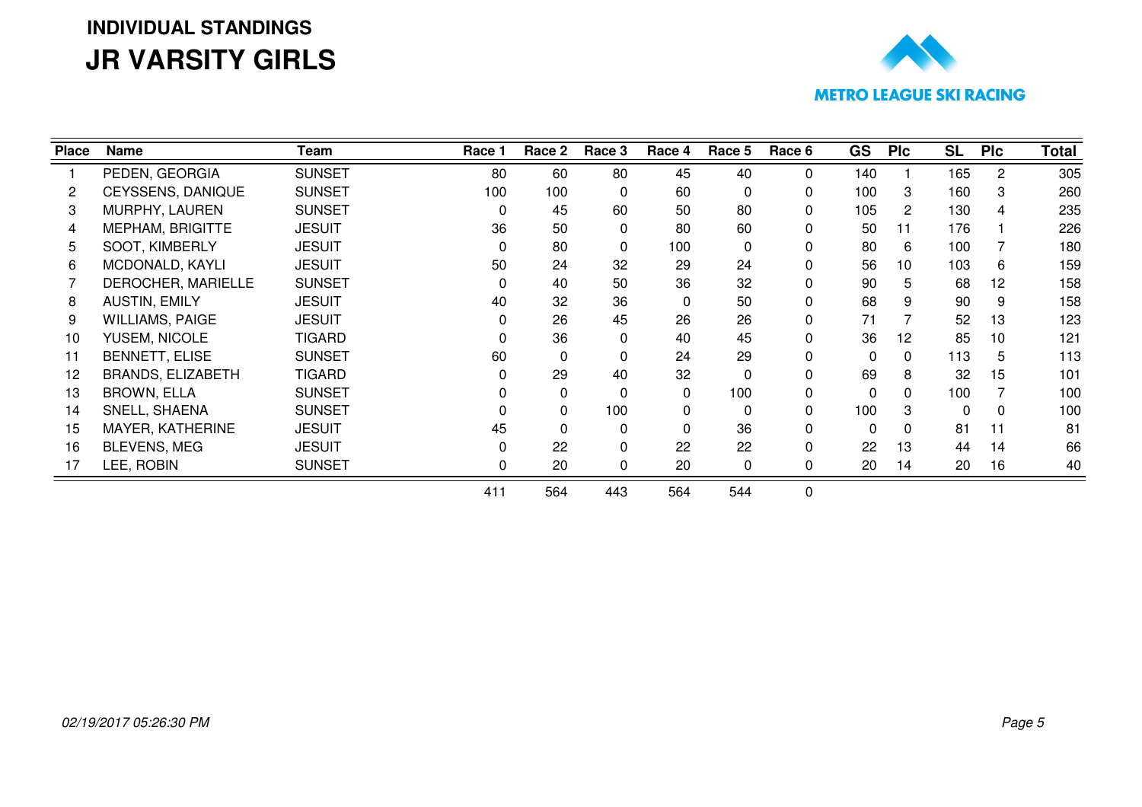# **INDIVIDUAL STANDINGSJR VARSITY GIRLS**



| <b>Place</b> | Name                     | Team          | Race 1   | Race 2   | Race 3       | Race 4 | Race 5   | Race 6 | <b>GS</b> | <b>PIc</b>   | <b>SL</b> | <b>PIc</b> | Total |
|--------------|--------------------------|---------------|----------|----------|--------------|--------|----------|--------|-----------|--------------|-----------|------------|-------|
|              | PEDEN, GEORGIA           | <b>SUNSET</b> | 80       | 60       | 80           | 45     | 40       | 0      | 140       |              | 165       | 2          | 305   |
|              | CEYSSENS, DANIQUE        | <b>SUNSET</b> | 100      | 100      | ∩            | 60     | $\Omega$ | 0      | 100       | 3            | 160       |            | 260   |
| 3            | MURPHY, LAUREN           | <b>SUNSET</b> |          | 45       | 60           | 50     | 80       | 0      | 105       | $\mathbf{2}$ | 130       |            | 235   |
| 4            | <b>MEPHAM, BRIGITTE</b>  | <b>JESUIT</b> | 36       | 50       | 0            | 80     | 60       | 0      | 50        | 11           | 176       |            | 226   |
| 5.           | SOOT, KIMBERLY           | <b>JESUIT</b> | $\Omega$ | 80       | $\Omega$     | 100    | $\Omega$ | 0      | 80        | 6            | 100       |            | 180   |
| 6.           | MCDONALD, KAYLI          | <b>JESUIT</b> | 50       | 24       | 32           | 29     | 24       | 0      | 56        | 10           | 103       | 6          | 159   |
|              | DEROCHER, MARIELLE       | <b>SUNSET</b> |          | 40       | 50           | 36     | 32       | 0      | 90        | 5            | 68        | 12         | 158   |
| 8            | <b>AUSTIN, EMILY</b>     | <b>JESUIT</b> | 40       | 32       | 36           | 0      | 50       | 0      | 68        | 9            | 90        | 9          | 158   |
| 9            | <b>WILLIAMS, PAIGE</b>   | <b>JESUIT</b> |          | 26       | 45           | 26     | 26       | 0      | 71        |              | 52        | 13         | 123   |
| 10           | YUSEM, NICOLE            | <b>TIGARD</b> |          | 36       | 0            | 40     | 45       | 0      | 36        | 12           | 85        | 10         | 121   |
| 11           | <b>BENNETT, ELISE</b>    | <b>SUNSET</b> | 60       | $\Omega$ |              | 24     | 29       | 0      | $\Omega$  | 0            | 113       | 5.         | 113   |
| 12           | <b>BRANDS, ELIZABETH</b> | <b>TIGARD</b> |          | 29       | 40           | 32     | $\Omega$ | 0      | 69        | 8            | 32        | 15         | 101   |
| 13           | <b>BROWN, ELLA</b>       | <b>SUNSET</b> |          | 0        | $\Omega$     | 0      | 100      | 0      | $\Omega$  | $\Omega$     | 100       |            | 100   |
| 14           | SNELL, SHAENA            | <b>SUNSET</b> |          | 0        | 100          | 0      | $\Omega$ | 0      | 100       | 3            | $\Omega$  |            | 100   |
| 15           | MAYER, KATHERINE         | <b>JESUIT</b> | 45       | 0        | <sup>0</sup> | 0      | 36       | 0      | $\Omega$  | 0            | 81        | 11         | 81    |
| 16           | <b>BLEVENS, MEG</b>      | <b>JESUIT</b> |          | 22       | <sup>0</sup> | 22     | 22       | 0      | 22        | 13           | 44        | 14         | 66    |
| 17           | LEE, ROBIN               | <b>SUNSET</b> |          | 20       | 0            | 20     | 0        | 0      | 20        | 14           | 20        | 16         | 40    |
|              |                          |               | 411      | 564      | 443          | 564    | 544      | 0      |           |              |           |            |       |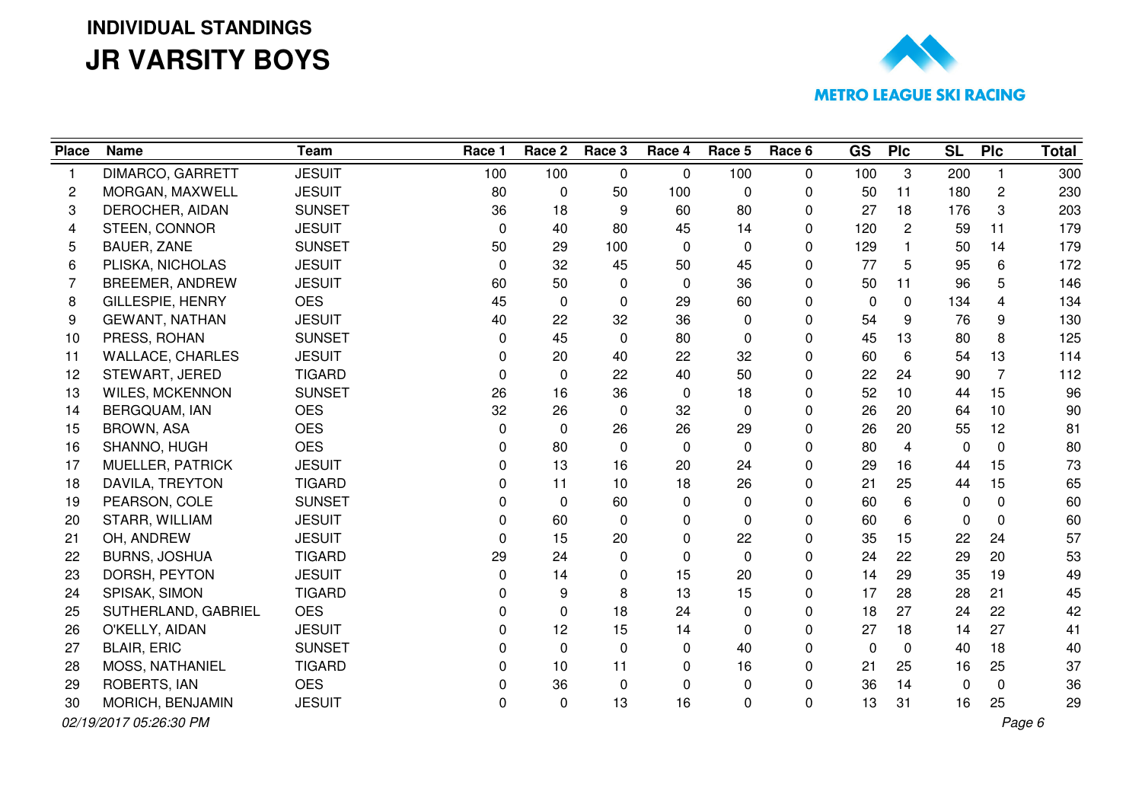## **INDIVIDUAL STANDINGSJR VARSITY BOYS**



| <b>Place</b> | <b>Name</b>             | <b>Team</b>   | Race 1   | Race 2       | Race 3   | Race 4   | Race 5   | Race 6       | <b>GS</b>    | <b>PIc</b>   | <b>SL</b> | <b>PIc</b>     | <b>Total</b> |
|--------------|-------------------------|---------------|----------|--------------|----------|----------|----------|--------------|--------------|--------------|-----------|----------------|--------------|
| 1            | DIMARCO, GARRETT        | <b>JESUIT</b> | 100      | 100          | $\Omega$ | 0        | 100      | $\Omega$     | 100          | 3            | 200       |                | 300          |
| 2            | MORGAN, MAXWELL         | <b>JESUIT</b> | 80       | $\mathbf 0$  | 50       | 100      | 0        | 0            | 50           | 11           | 180       | $\overline{2}$ | 230          |
| 3            | DEROCHER, AIDAN         | <b>SUNSET</b> | 36       | 18           | 9        | 60       | 80       | 0            | 27           | 18           | 176       | 3              | 203          |
| 4            | STEEN, CONNOR           | <b>JESUIT</b> | $\Omega$ | 40           | 80       | 45       | 14       | $\Omega$     | 120          | $\mathbf{2}$ | 59        | 11             | 179          |
| 5            | <b>BAUER, ZANE</b>      | <b>SUNSET</b> | 50       | 29           | 100      | $\Omega$ | 0        | $\Omega$     | 129          | $\mathbf{1}$ | 50        | 14             | 179          |
| 6            | PLISKA, NICHOLAS        | <b>JESUIT</b> | 0        | 32           | 45       | 50       | 45       | 0            | 77           | 5            | 95        | 6              | 172          |
| 7            | <b>BREEMER, ANDREW</b>  | <b>JESUIT</b> | 60       | 50           | $\Omega$ | 0        | 36       | 0            | 50           | 11           | 96        | 5              | 146          |
| 8            | <b>GILLESPIE, HENRY</b> | <b>OES</b>    | 45       | $\mathbf{0}$ | 0        | 29       | 60       | $\Omega$     | $\mathbf{0}$ | $\mathbf 0$  | 134       | 4              | 134          |
| 9            | <b>GEWANT, NATHAN</b>   | <b>JESUIT</b> | 40       | 22           | 32       | 36       | 0        | $\Omega$     | 54           | 9            | 76        | 9              | 130          |
| 10           | PRESS, ROHAN            | <b>SUNSET</b> | 0        | 45           | 0        | 80       | 0        | 0            | 45           | 13           | 80        | 8              | 125          |
| 11           | <b>WALLACE, CHARLES</b> | <b>JESUIT</b> | 0        | 20           | 40       | 22       | 32       | $\Omega$     | 60           | 6            | 54        | 13             | 114          |
| 12           | STEWART, JERED          | <b>TIGARD</b> | 0        | $\mathbf{0}$ | 22       | 40       | 50       | 0            | 22           | 24           | 90        | $\overline{7}$ | 112          |
| 13           | <b>WILES, MCKENNON</b>  | <b>SUNSET</b> | 26       | 16           | 36       | 0        | 18       | $\Omega$     | 52           | 10           | 44        | 15             | 96           |
| 14           | BERGQUAM, IAN           | <b>OES</b>    | 32       | 26           | 0        | 32       | 0        | 0            | 26           | 20           | 64        | 10             | 90           |
| 15           | <b>BROWN, ASA</b>       | <b>OES</b>    | 0        | $\mathbf 0$  | 26       | 26       | 29       | $\Omega$     | 26           | 20           | 55        | 12             | 81           |
| 16           | SHANNO, HUGH            | <b>OES</b>    | 0        | 80           | $\Omega$ | 0        | 0        | 0            | 80           | 4            | 0         | $\mathbf{0}$   | 80           |
| 17           | MUELLER, PATRICK        | <b>JESUIT</b> | 0        | 13           | 16       | 20       | 24       | $\mathbf 0$  | 29           | 16           | 44        | 15             | 73           |
| 18           | DAVILA, TREYTON         | <b>TIGARD</b> | 0        | 11           | 10       | 18       | 26       | 0            | 21           | 25           | 44        | 15             | 65           |
| 19           | PEARSON, COLE           | <b>SUNSET</b> | 0        | $\Omega$     | 60       | 0        | 0        | $\Omega$     | 60           | 6            | 0         | $\Omega$       | 60           |
| 20           | STARR, WILLIAM          | <b>JESUIT</b> | 0        | 60           | 0        | 0        | 0        | 0            | 60           | 6            | 0         | $\mathbf{0}$   | 60           |
| 21           | OH, ANDREW              | <b>JESUIT</b> | 0        | 15           | 20       | 0        | 22       | 0            | 35           | 15           | 22        | 24             | 57           |
| 22           | <b>BURNS, JOSHUA</b>    | <b>TIGARD</b> | 29       | 24           | 0        | 0        | 0        | $\Omega$     | 24           | 22           | 29        | 20             | 53           |
| 23           | DORSH, PEYTON           | <b>JESUIT</b> | 0        | 14           | 0        | 15       | 20       | 0            | 14           | 29           | 35        | 19             | 49           |
| 24           | SPISAK, SIMON           | <b>TIGARD</b> | 0        | 9            | 8        | 13       | 15       | 0            | 17           | 28           | 28        | 21             | 45           |
| 25           | SUTHERLAND, GABRIEL     | <b>OES</b>    | 0        | $\mathbf 0$  | 18       | 24       | 0        | 0            | 18           | 27           | 24        | 22             | 42           |
| 26           | O'KELLY, AIDAN          | <b>JESUIT</b> | 0        | 12           | 15       | 14       | $\Omega$ | $\Omega$     | 27           | 18           | 14        | 27             | 41           |
| 27           | <b>BLAIR, ERIC</b>      | <b>SUNSET</b> | 0        | $\mathbf 0$  | $\Omega$ | 0        | 40       | $\Omega$     | $\mathbf{0}$ | $\Omega$     | 40        | 18             | 40           |
| 28           | MOSS, NATHANIEL         | <b>TIGARD</b> | 0        | 10           | 11       | 0        | 16       | $\mathbf{0}$ | 21           | 25           | 16        | 25             | 37           |
| 29           | ROBERTS, IAN            | <b>OES</b>    | 0        | 36           | 0        | 0        | 0        | 0            | 36           | 14           | 0         | $\mathbf 0$    | 36           |
| 30           | MORICH, BENJAMIN        | <b>JESUIT</b> | 0        | $\mathbf{0}$ | 13       | 16       | 0        | $\mathbf{0}$ | 13           | 31           | 16        | 25             | 29           |
|              | 02/19/2017 05:26:30 PM  |               |          |              |          |          |          |              |              |              |           |                | Page 6       |